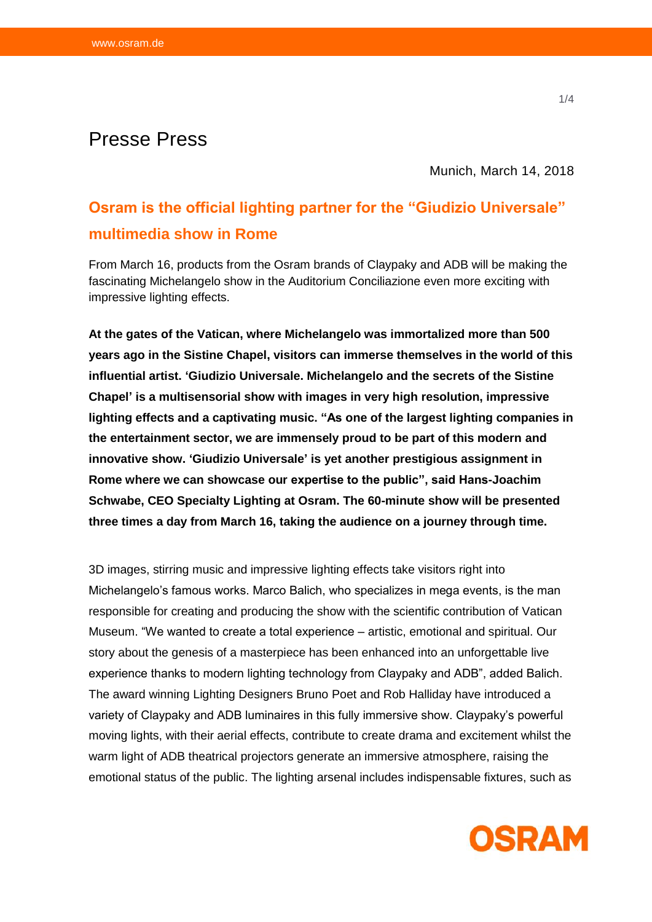## Presse Press

Munich, March 14, 2018

## **Osram is the official lighting partner for the "Giudizio Universale" multimedia show in Rome**

From March 16, products from the Osram brands of Claypaky and ADB will be making the fascinating Michelangelo show in the Auditorium Conciliazione even more exciting with impressive lighting effects.

**At the gates of the Vatican, where Michelangelo was immortalized more than 500 years ago in the Sistine Chapel, visitors can immerse themselves in the world of this influential artist. 'Giudizio Universale. Michelangelo and the secrets of the Sistine Chapel' is a multisensorial show with images in very high resolution, impressive lighting effects and a captivating music. "As one of the largest lighting companies in the entertainment sector, we are immensely proud to be part of this modern and innovative show. 'Giudizio Universale' is yet another prestigious assignment in Rome where we can showcase our expertise to the public", said Hans-Joachim Schwabe, CEO Specialty Lighting at Osram. The 60-minute show will be presented three times a day from March 16, taking the audience on a journey through time.**

3D images, stirring music and impressive lighting effects take visitors right into Michelangelo's famous works. Marco Balich, who specializes in mega events, is the man responsible for creating and producing the show with the scientific contribution of Vatican Museum. "We wanted to create a total experience – artistic, emotional and spiritual. Our story about the genesis of a masterpiece has been enhanced into an unforgettable live experience thanks to modern lighting technology from Claypaky and ADB", added Balich. The award winning Lighting Designers Bruno Poet and Rob Halliday have introduced a variety of Claypaky and ADB luminaires in this fully immersive show. Claypaky's powerful moving lights, with their aerial effects, contribute to create drama and excitement whilst the warm light of ADB theatrical projectors generate an immersive atmosphere, raising the emotional status of the public. The lighting arsenal includes indispensable fixtures, such as

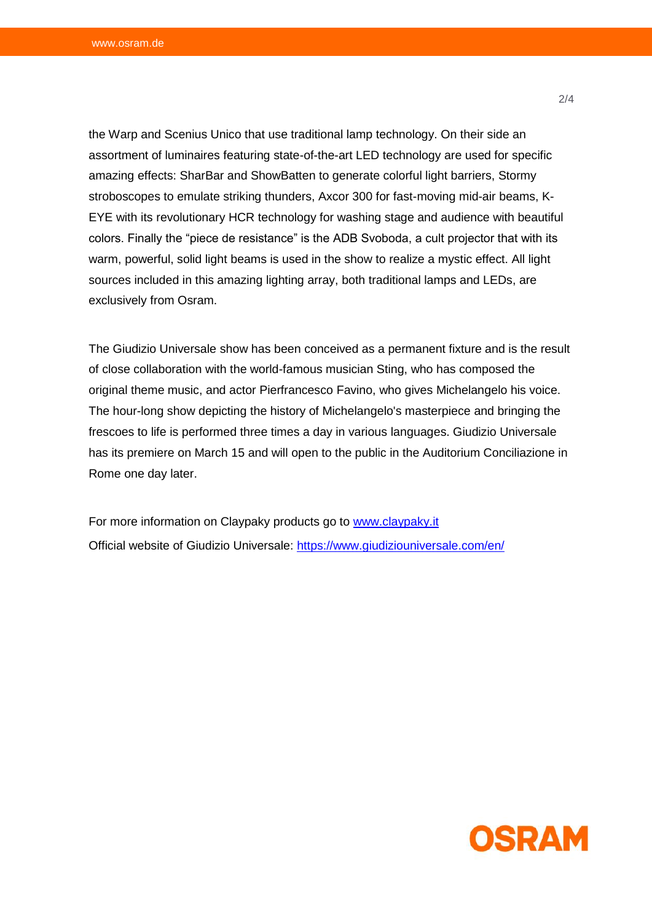the Warp and Scenius Unico that use traditional lamp technology. On their side an assortment of luminaires featuring state-of-the-art LED technology are used for specific amazing effects: SharBar and ShowBatten to generate colorful light barriers, Stormy stroboscopes to emulate striking thunders, Axcor 300 for fast-moving mid-air beams, K-EYE with its revolutionary HCR technology for washing stage and audience with beautiful colors. Finally the "piece de resistance" is the ADB Svoboda, a cult projector that with its warm, powerful, solid light beams is used in the show to realize a mystic effect. All light sources included in this amazing lighting array, both traditional lamps and LEDs, are exclusively from Osram.

The Giudizio Universale show has been conceived as a permanent fixture and is the result of close collaboration with the world-famous musician Sting, who has composed the original theme music, and actor Pierfrancesco Favino, who gives Michelangelo his voice. The hour-long show depicting the history of Michelangelo's masterpiece and bringing the frescoes to life is performed three times a day in various languages. Giudizio Universale has its premiere on March 15 and will open to the public in the Auditorium Conciliazione in Rome one day later.

For more information on Claypaky products go to [www.claypaky.it](http://www.claypaky.it/) Official website of Giudizio Universale:<https://www.giudiziouniversale.com/en/>

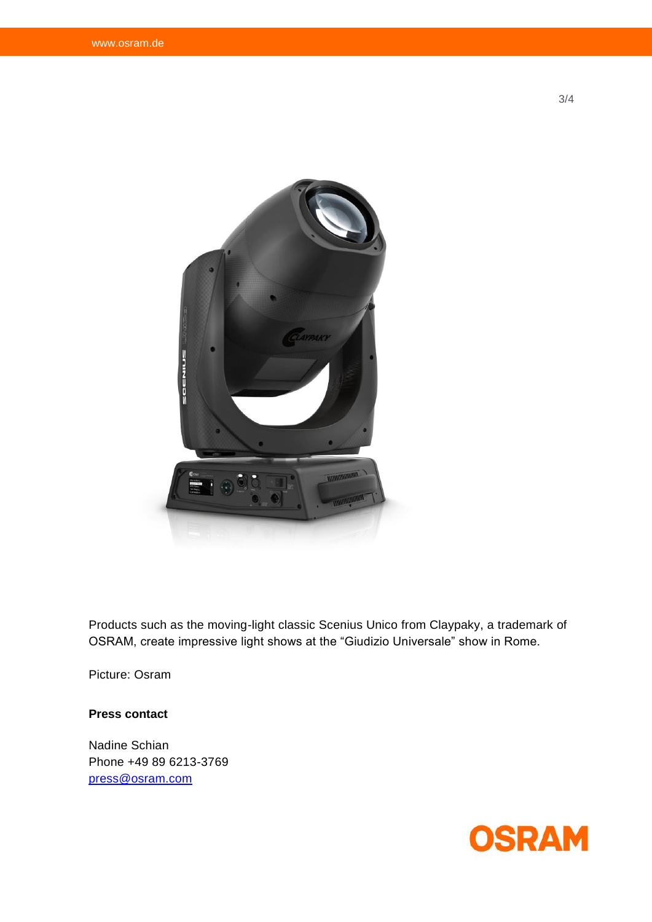

Products such as the moving-light classic Scenius Unico from Claypaky, a trademark of OSRAM, create impressive light shows at the "Giudizio Universale" show in Rome.

Picture: Osram

## **Press contact**

Nadine Schian Phone +49 89 6213-3769 [press@osram.com](mailto:press@osram.com)